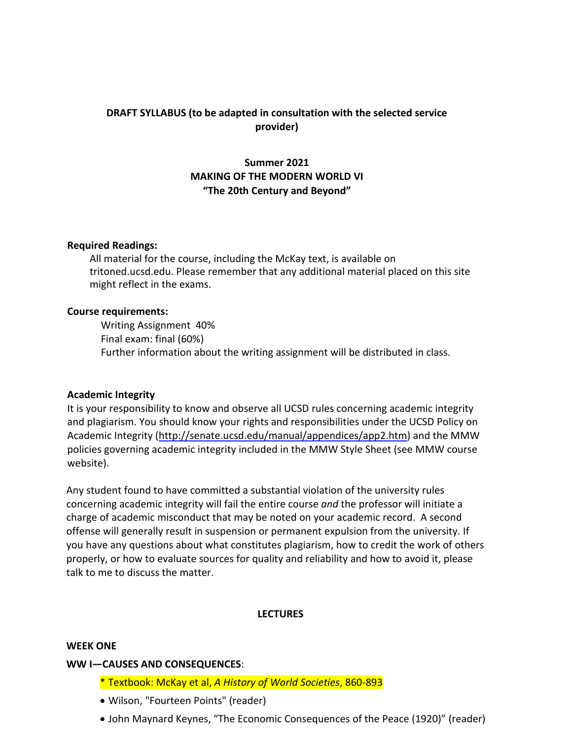# **DRAFT SYLLABUS (to be adapted in consultation with the selected service provider)**

# **Summer 2021 MAKING OF THE MODERN WORLD VI "The 20th Century and Beyond"**

#### **Required Readings:**

All material for the course, including the McKay text, is available on tritoned.ucsd.edu. Please remember that any additional material placed on this site might reflect in the exams.

#### **Course requirements:**

Writing Assignment 40% Final exam: final (60%) Further information about the writing assignment will be distributed in class.

#### **Academic Integrity**

It is your responsibility to know and observe all UCSD rules concerning academic integrity and plagiarism. You should know your rights and responsibilities under the UCSD Policy on Academic Integrity [\(http://senate.ucsd.edu/manual/appendices/app2.htm\)](http://senate.ucsd.edu/manual/appendices/app2.htm)) and the MMW policies governing academic integrity included in the MMW Style Sheet (see MMW course website).

Any student found to have committed a substantial violation of the university rules concerning academic integrity will fail the entire course *and* the professor will initiate a charge of academic misconduct that may be noted on your academic record. A second offense will generally result in suspension or permanent expulsion from the university. If you have any questions about what constitutes plagiarism, how to credit the work of others properly, or how to evaluate sources for quality and reliability and how to avoid it, please talk to me to discuss the matter.

#### **LECTURES**

#### **WEEK ONE**

#### **WW I—CAUSES AND CONSEQUENCES**:

- \* Textbook: McKay et al, *A History of World Societies*, 860-893
- Wilson, "Fourteen Points" (reader)
- John Maynard Keynes, "The Economic Consequences of the Peace (1920)" (reader)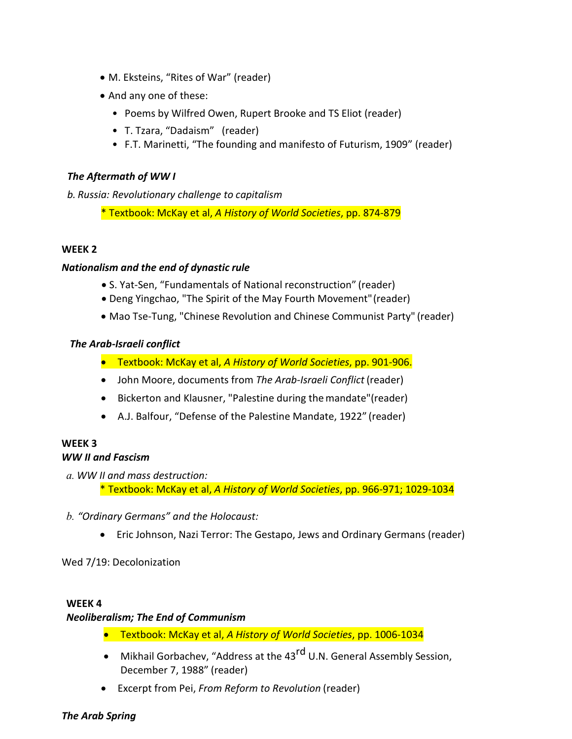- M. Eksteins, "Rites of War" (reader)
- And any one of these:
	- Poems by Wilfred Owen, Rupert Brooke and TS Eliot (reader)
	- T. Tzara, "Dadaism" (reader)
	- F.T. Marinetti, "The founding and manifesto of Futurism, 1909" (reader)

#### *The Aftermath of WW I*

*b. Russia: Revolutionary challenge to capitalism*

\* Textbook: McKay et al, *A History of World Societies*, pp. 874-879

# **WEEK 2**

# *Nationalism and the end of dynastic rule*

- S. Yat-Sen, "Fundamentals of National reconstruction" (reader)
- Deng Yingchao, "The Spirit of the May Fourth Movement"(reader)
- Mao Tse-Tung, "Chinese Revolution and Chinese Communist Party" (reader)

# *The Arab-Israeli conflict*

- Textbook: McKay et al, *A History of World Societies*, pp. 901-906.
- John Moore, documents from *The Arab-Israeli Conflict* (reader)
- Bickerton and Klausner, "Palestine during themandate"(reader)
- A.J. Balfour, "Defense of the Palestine Mandate, 1922" (reader)

# **WEEK 3**

# *WW II and Fascism*

- *a. WW II and mass destruction:*
	- \* Textbook: McKay et al, *A History of World Societies*, pp. 966-971; 1029-1034
- *b. "Ordinary Germans" and the Holocaust:*
	- Eric Johnson, Nazi Terror: The Gestapo, Jews and Ordinary Germans (reader)

Wed 7/19: Decolonization

#### **WEEK 4**

# *Neoliberalism; The End of Communism*

- Textbook: McKay et al, *A History of World Societies*, pp. 1006-1034
- Mikhail Gorbachev, "Address at the 43<sup>rd</sup> U.N. General Assembly Session, December 7, 1988" (reader)
- Excerpt from Pei, *From Reform to Revolution* (reader)

# *The Arab Spring*